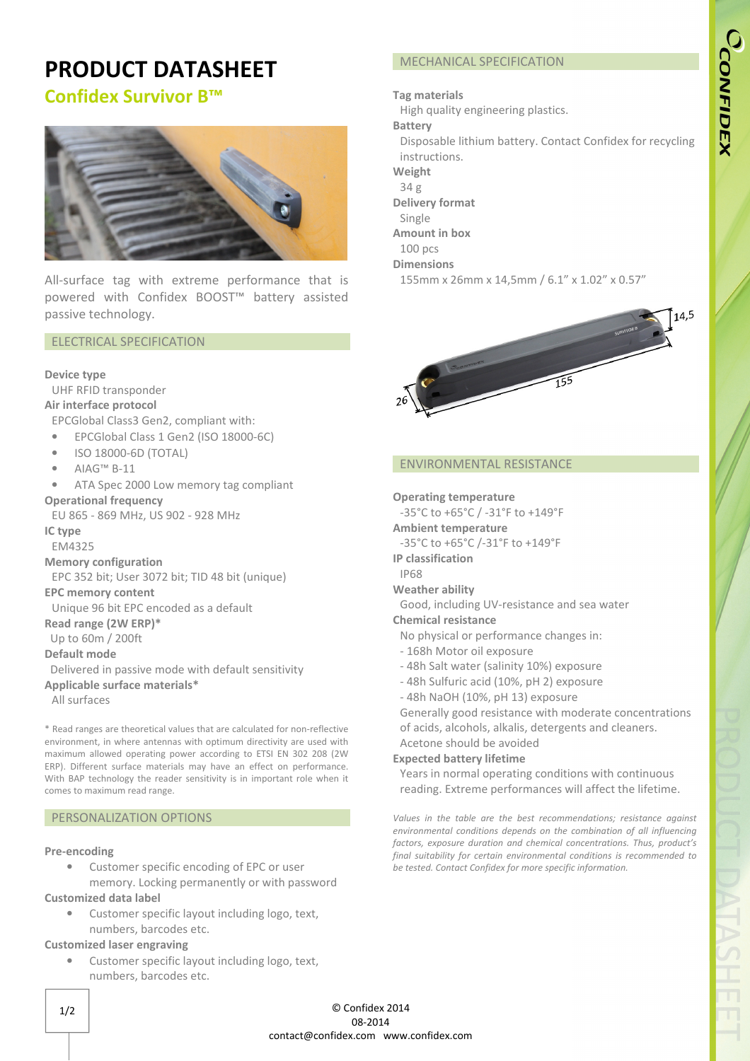# **PRODUCT DATASHEET**

## **Confidex Survivor B™**



All-surface tag with extreme performance that is powered with Confidex BOOST™ battery assisted passive technology.

### ELECTRICAL SPECIFICATION

#### **Device type**

UHF RFID transponder

## **Air interface protocol**

EPCGlobal Class3 Gen2, compliant with:

- EPCGlobal Class 1 Gen2 (ISO 18000-6C)
- ISO 18000-6D (TOTAL)
- AIAG™ B-11
- ATA Spec 2000 Low memory tag compliant

#### **Operational frequency**

EU 865 - 869 MHz, US 902 - 928 MHz

## **IC type**

EM4325

**Memory configuration** 

EPC 352 bit; User 3072 bit; TID 48 bit (unique)

#### **EPC memory content**

Unique 96 bit EPC encoded as a default

**Read range (2W ERP)\***

## Up to 60m / 200ft

**Default mode**

 Delivered in passive mode with default sensitivity **Applicable surface materials\***

All surfaces

\* Read ranges are theoretical values that are calculated for non-reflective environment, in where antennas with optimum directivity are used with maximum allowed operating power according to ETSI EN 302 208 (2W ERP). Different surface materials may have an effect on performance. With BAP technology the reader sensitivity is in important role when it comes to maximum read range.

## PERSONALIZATION OPTIONS

#### **Pre-encoding**

• Customer specific encoding of EPC or user

memory. Locking permanently or with password

### **Customized data label**

• Customer specific layout including logo, text, numbers, barcodes etc.

## **Customized laser engraving**

• Customer specific layout including logo, text, numbers, barcodes etc.

## MECHANICAL SPECIFICATION

#### **Tag materials**

High quality engineering plastics.

**Battery**

- Disposable lithium battery. Contact Confidex for recycling instructions.
- **Weight**
- 34 g
- **Delivery format**
- Single
- **Amount in box**
- 100 pcs

#### **Dimensions**

155mm x 26mm x 14,5mm / 6.1" x 1.02" x 0.57"



#### ENVIRONMENTAL RESISTANCE

#### **Operating temperature**

-35°C to +65°C / -31°F to +149°F

- **Ambient temperature**
- -35°C to +65°C /-31°F to +149°F
- **IP classification**
- IP68
- **Weather ability**
- Good, including UV-resistance and sea water

## **Chemical resistance**

- No physical or performance changes in:
- 168h Motor oil exposure
- 48h Salt water (salinity 10%) exposure
- 48h Sulfuric acid (10%, pH 2) exposure
- 48h NaOH (10%, pH 13) exposure
- Generally good resistance with moderate concentrations

of acids, alcohols, alkalis, detergents and cleaners. Acetone should be avoided

#### **Expected battery lifetime**

Years in normal operating conditions with continuous reading. Extreme performances will affect the lifetime.

*Values in the table are the best recommendations; resistance against environmental conditions depends on the combination of all influencing factors, exposure duration and chemical concentrations. Thus, product's final suitability for certain environmental conditions is recommended to be tested. Contact Confidex for more specific information.*